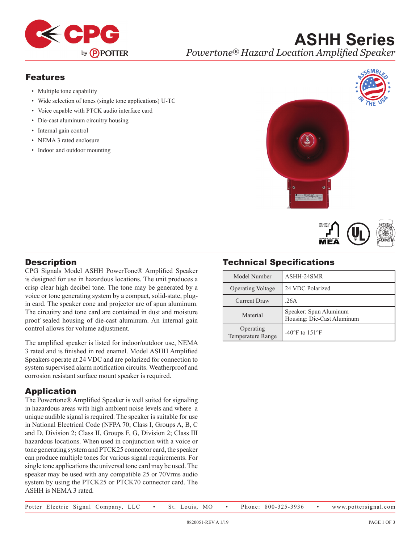

# **ASHH Series** *Powertone® Hazard Location Amplified Speaker*

#### Features

- Multiple tone capability
- Wide selection of tones (single tone applications) U-TC
- • Voice capable with PTCK audio interface card
- • Die-cast aluminum circuitry housing
- Internal gain control
- NEMA 3 rated enclosure
- Indoor and outdoor mounting





#### **Description**

CPG Signals Model ASHH PowerTone® Amplified Speaker is designed for use in hazardous locations. The unit produces a crisp clear high decibel tone. The tone may be generated by a voice or tone generating system by a compact, solid-state, plugin card. The speaker cone and projector are of spun aluminum. The circuitry and tone card are contained in dust and moisture proof sealed housing of die-cast aluminum. An internal gain control allows for volume adjustment.

The amplified speaker is listed for indoor/outdoor use, NEMA 3 rated and is finished in red enamel. Model ASHH Amplified Speakers operate at 24 VDC and are polarized for connection to system supervised alarm notification circuits. Weatherproof and corrosion resistant surface mount speaker is required.

## Application

The Powertone® Amplified Speaker is well suited for signaling in hazardous areas with high ambient noise levels and where a unique audible signal is required. The speaker is suitable for use in National Electrical Code (NFPA 70; Class I, Groups A, B, C and D, Division 2; Class II, Groups F, G, Division 2; Class III hazardous locations. When used in conjunction with a voice or tone generating system and PTCK25 connector card, the speaker can produce multiple tones for various signal requirements. For single tone applications the universal tone card may be used. The speaker may be used with any compatible 25 or 70Vrms audio system by using the PTCK25 or PTCK70 connector card. The ASHH is NEMA 3 rated.

## Technical Specifications

| Model Number                   | ASHH-24SMR                                           |  |  |  |
|--------------------------------|------------------------------------------------------|--|--|--|
| <b>Operating Voltage</b>       | 24 VDC Polarized                                     |  |  |  |
| <b>Current Draw</b>            | .26A                                                 |  |  |  |
| Material                       | Speaker: Spun Aluminum<br>Housing: Die-Cast Aluminum |  |  |  |
| Operating<br>Temperature Range | $-40^{\circ}$ F to $151^{\circ}$ F                   |  |  |  |

Potter Electric Signal Company, LLC • St. Louis, MO • Phone: 800-325-3936 • www.pottersignal.com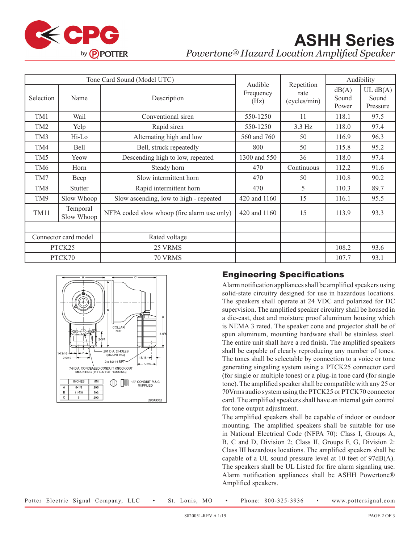

|                      |                        | Tone Card Sound (Model UTC)                 |                              |                                    | Audibility              |                                 |
|----------------------|------------------------|---------------------------------------------|------------------------------|------------------------------------|-------------------------|---------------------------------|
| Selection            | Name                   | Description                                 | Audible<br>Frequency<br>(Hz) | Repetition<br>rate<br>(cycles/min) | dB(A)<br>Sound<br>Power | $UL$ dB(A)<br>Sound<br>Pressure |
| TM1                  | Wail                   | Conventional siren                          | 550-1250                     | 11                                 | 118.1                   | 97.5                            |
| TM <sub>2</sub>      | Yelp                   | Rapid siren                                 | 550-1250                     | $3.3 \text{ Hz}$                   | 118.0                   | 97.4                            |
| TM3                  | $Hi$ -Lo               | Alternating high and low                    | 560 and 760                  | 50                                 | 116.9                   | 96.3                            |
| TM4                  | <b>Bell</b>            | Bell, struck repeatedly                     | 800                          | 50                                 | 115.8                   | 95.2                            |
| TM5                  | Yeow                   | Descending high to low, repeated            | 1300 and 550                 | 36                                 | 118.0                   | 97.4                            |
| TM <sub>6</sub>      | Horn                   | Steady horn                                 | 470                          | Continuous                         | 112.2                   | 91.6                            |
| TM7                  | Beep                   | Slow intermittent horn                      | 470                          | 50                                 | 110.8                   | 90.2                            |
| TM8                  | <b>Stutter</b>         | Rapid intermittent horn                     | 470                          | 5                                  | 110.3                   | 89.7                            |
| TM9                  | Slow Whoop             | Slow ascending, low to high - repeated      | 420 and 1160                 | 15                                 | 116.1                   | 95.5                            |
| <b>TM11</b>          | Temporal<br>Slow Whoop | NFPA coded slow whoop (fire alarm use only) | 420 and 1160                 | 15                                 | 113.9                   | 93.3                            |
|                      |                        |                                             |                              |                                    |                         |                                 |
| Connector card model |                        | Rated voltage                               |                              |                                    |                         |                                 |
| PTCK25               |                        | 25 VRMS                                     |                              |                                    | 108.2                   | 93.6                            |
| PTCK70               |                        | 70 VRMS                                     |                              |                                    | 107.7                   | 93.1                            |



# Engineering Specifications

Alarm notification appliances shall be amplified speakers using solid-state circuitry designed for use in hazardous locations. The speakers shall operate at 24 VDC and polarized for DC supervision. The amplified speaker circuitry shall be housed in a die-cast, dust and moisture proof aluminum housing which is NEMA 3 rated. The speaker cone and projector shall be of spun aluminum, mounting hardware shall be stainless steel. The entire unit shall have a red finish. The amplified speakers shall be capable of clearly reproducing any number of tones. The tones shall be selectable by connection to a voice or tone generating singaling system using a PTCK25 connector card (for single or multiple tones) or a plug-in tone card (for single tone). The amplified speakershall be compatible with any 25 or 70Vrms audio system using the PTCK25 or PTCK70 connector card. The amplified speakers shall have an internal gain control for tone output adjustment.

The amplified speakers shall be capable of indoor or outdoor mounting. The amplified speakers shall be suitable for use in National Electrical Code (NFPA 70): Class I, Groups A, B, C and D, Division 2; Class II, Groups F, G, Division 2: Class III hazardous locations. The amplified speakers shall be capable of a UL sound pressure level at 10 feet of 97dB(A). The speakers shall be UL Listed for fire alarm signaling use. Alarm notification appliances shall be ASHH Powertone® Amplified speakers.

|  |  |  | Potter Electric Signal Company, LLC |  |  | St. Louis, MO |  |  |  | Phone: 800-325-3936 |  | www.pottersignal.com |
|--|--|--|-------------------------------------|--|--|---------------|--|--|--|---------------------|--|----------------------|
|--|--|--|-------------------------------------|--|--|---------------|--|--|--|---------------------|--|----------------------|